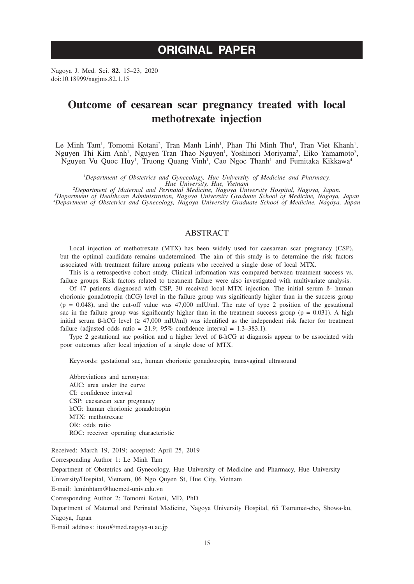# **ORIGINAL PAPER**

Nagoya J. Med. Sci. **82**. 15–23, 2020 doi:10.18999/nagjms.82.1.15

# **Outcome of cesarean scar pregnancy treated with local methotrexate injection**

Le Minh Tam<sup>1</sup>, Tomomi Kotani<sup>2</sup>, Tran Manh Linh<sup>1</sup>, Phan Thi Minh Thu<sup>1</sup>, Tran Viet Khanh<sup>1</sup>, Nguyen Thi Kim Anh<sup>1</sup>, Nguyen Tran Thao Nguyen<sup>1</sup>, Yoshinori Moriyama<sup>2</sup>, Eiko Yamamoto<sup>3</sup>, Nguyen Vu Quoc Huy<sup>1</sup>, Truong Quang Vinh<sup>1</sup>, Cao Ngoc Thanh<sup>1</sup> and Fumitaka Kikkawa<sup>4</sup>

*1 Department of Obstetrics and Gynecology, Hue University of Medicine and Pharmacy,* 

*Hue University, Hue, Vietnam*<br><sup>2</sup>Department of Maternal and Perinatal Medicine, Nagoya University Hospital, Nagoya, Japan.<br>2009 <sup>3</sup>Department of Healthcare Administration, Nagoya University Graduate School of Medicine. Na *Department of Healthcare Administration, Nagoya University Graduate School of Medicine, Nagoya, Japan 4 Department of Obstetrics and Gynecology, Nagoya University Graduate School of Medicine, Nagoya, Japan*

# ABSTRACT

Local injection of methotrexate (MTX) has been widely used for caesarean scar pregnancy (CSP), but the optimal candidate remains undetermined. The aim of this study is to determine the risk factors associated with treatment failure among patients who received a single dose of local MTX.

This is a retrospective cohort study. Clinical information was compared between treatment success vs. failure groups. Risk factors related to treatment failure were also investigated with multivariate analysis.

Of 47 patients diagnosed with CSP, 30 received local MTX injection. The initial serum ß- human chorionic gonadotropin (hCG) level in the failure group was significantly higher than in the success group  $(p = 0.048)$ , and the cut-off value was 47,000 mIU/ml. The rate of type 2 position of the gestational sac in the failure group was significantly higher than in the treatment success group ( $p = 0.031$ ). A high initial serum ß-hCG level (≥ 47,000 mIU/ml) was identified as the independent risk factor for treatment failure (adjusted odds ratio = 21.9;  $95\%$  confidence interval = 1.3–383.1).

Type 2 gestational sac position and a higher level of ß-hCG at diagnosis appear to be associated with poor outcomes after local injection of a single dose of MTX.

Keywords: gestational sac, human chorionic gonadotropin, transvaginal ultrasound

Abbreviations and acronyms: AUC: area under the curve CI: confidence interval CSP: caesarean scar pregnancy hCG: human chorionic gonadotropin MTX: methotrexate OR: odds ratio ROC: receiver operating characteristic

Corresponding Author 1: Le Minh Tam

University/Hospital, Vietnam, 06 Ngo Quyen St, Hue City, Vietnam

E-mail: leminhtam@huemed-univ.edu.vn

E-mail address: itoto@med.nagoya-u.ac.jp

Received: March 19, 2019; accepted: April 25, 2019

Department of Obstetrics and Gynecology, Hue University of Medicine and Pharmacy, Hue University

Corresponding Author 2: Tomomi Kotani, MD, PhD

Department of Maternal and Perinatal Medicine, Nagoya University Hospital, 65 Tsurumai-cho, Showa-ku, Nagoya, Japan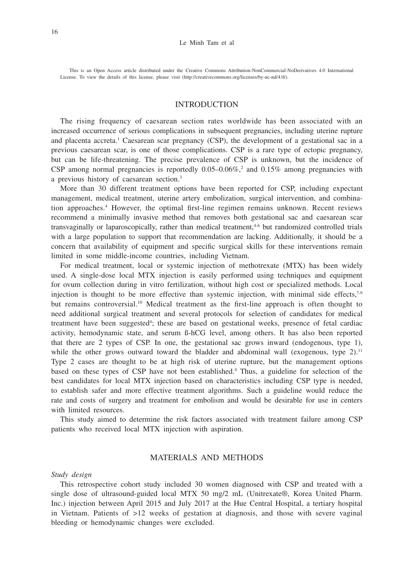This is an Open Access article distributed under the Creative Commons Attribution-NonCommercial-NoDerivatives 4.0 International License. To view the details of this license, please visit (http://creativecommons.org/licenses/by-nc-nd/4.0/).

## INTRODUCTION

The rising frequency of caesarean section rates worldwide has been associated with an increased occurrence of serious complications in subsequent pregnancies, including uterine rupture and placenta accreta.<sup>1</sup> Caesarean scar pregnancy (CSP), the development of a gestational sac in a previous caesarean scar, is one of those complications. CSP is a rare type of ectopic pregnancy, but can be life-threatening. The precise prevalence of CSP is unknown, but the incidence of CSP among normal pregnancies is reportedly  $0.05-0.06\%$ <sup>2</sup> and  $0.15\%$  among pregnancies with a previous history of caesarean section.<sup>3</sup>

More than 30 different treatment options have been reported for CSP, including expectant management, medical treatment, uterine artery embolization, surgical intervention, and combination approaches.4 However, the optimal first-line regimen remains unknown. Recent reviews recommend a minimally invasive method that removes both gestational sac and caesarean scar transvaginally or laparoscopically, rather than medical treatment,<sup>4-6</sup> but randomized controlled trials with a large population to support that recommendation are lacking. Additionally, it should be a concern that availability of equipment and specific surgical skills for these interventions remain limited in some middle-income countries, including Vietnam.

For medical treatment, local or systemic injection of methotrexate (MTX) has been widely used. A single-dose local MTX injection is easily performed using techniques and equipment for ovum collection during in vitro fertilization, without high cost or specialized methods. Local injection is thought to be more effective than systemic injection, with minimal side effects, $7-9$ but remains controversial.<sup>10</sup> Medical treatment as the first-line approach is often thought to need additional surgical treatment and several protocols for selection of candidates for medical treatment have been suggested<sup>4</sup>; these are based on gestational weeks, presence of fetal cardiac activity, hemodynamic state, and serum ß-hCG level, among others. It has also been reported that there are 2 types of CSP. In one, the gestational sac grows inward (endogenous, type 1), while the other grows outward toward the bladder and abdominal wall (exogenous, type  $2$ ).<sup>11</sup> Type 2 cases are thought to be at high risk of uterine rupture, but the management options based on these types of CSP have not been established.<sup>4</sup> Thus, a guideline for selection of the best candidates for local MTX injection based on characteristics including CSP type is needed, to establish safer and more effective treatment algorithms. Such a guideline would reduce the rate and costs of surgery and treatment for embolism and would be desirable for use in centers with limited resources.

This study aimed to determine the risk factors associated with treatment failure among CSP patients who received local MTX injection with aspiration.

## MATERIALS AND METHODS

#### *Study design*

This retrospective cohort study included 30 women diagnosed with CSP and treated with a single dose of ultrasound-guided local MTX 50 mg/2 mL (Unitrexate®, Korea United Pharm. Inc.) injection between April 2015 and July 2017 at the Hue Central Hospital, a tertiary hospital in Vietnam. Patients of >12 weeks of gestation at diagnosis, and those with severe vaginal bleeding or hemodynamic changes were excluded.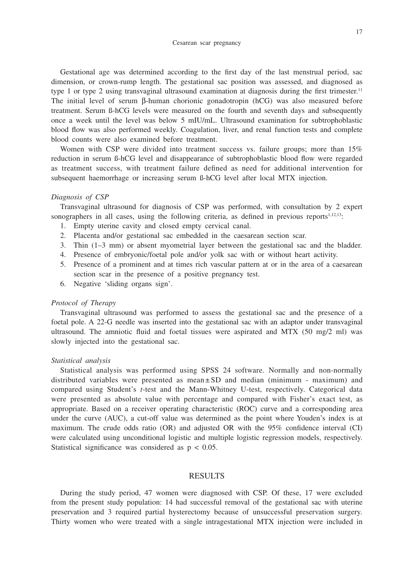Gestational age was determined according to the first day of the last menstrual period, sac dimension, or crown-rump length. The gestational sac position was assessed, and diagnosed as type 1 or type 2 using transvaginal ultrasound examination at diagnosis during the first trimester.<sup>11</sup> The initial level of serum β-human chorionic gonadotropin (hCG) was also measured before treatment. Serum ß-hCG levels were measured on the fourth and seventh days and subsequently once a week until the level was below 5 mIU/mL. Ultrasound examination for subtrophoblastic blood flow was also performed weekly. Coagulation, liver, and renal function tests and complete blood counts were also examined before treatment.

Women with CSP were divided into treatment success vs. failure groups; more than 15% reduction in serum ß-hCG level and disappearance of subtrophoblastic blood flow were regarded as treatment success, with treatment failure defined as need for additional intervention for subsequent haemorrhage or increasing serum ß-hCG level after local MTX injection.

## *Diagnosis of CSP*

Transvaginal ultrasound for diagnosis of CSP was performed, with consultation by 2 expert sonographers in all cases, using the following criteria, as defined in previous reports $1,12,13$ :

- 1. Empty uterine cavity and closed empty cervical canal.
- 2. Placenta and/or gestational sac embedded in the caesarean section scar.
- 3. Thin (1–3 mm) or absent myometrial layer between the gestational sac and the bladder.
- 4. Presence of embryonic/foetal pole and/or yolk sac with or without heart activity.
- 5. Presence of a prominent and at times rich vascular pattern at or in the area of a caesarean section scar in the presence of a positive pregnancy test.
- 6. Negative 'sliding organs sign'.

## *Protocol of Therapy*

Transvaginal ultrasound was performed to assess the gestational sac and the presence of a foetal pole. A 22-G needle was inserted into the gestational sac with an adaptor under transvaginal ultrasound. The amniotic fluid and foetal tissues were aspirated and MTX (50 mg/2 ml) was slowly injected into the gestational sac.

#### *Statistical analysis*

Statistical analysis was performed using SPSS 24 software. Normally and non-normally distributed variables were presented as mean $\pm$  SD and median (minimum - maximum) and compared using Student's *t*-test and the Mann-Whitney U-test, respectively. Categorical data were presented as absolute value with percentage and compared with Fisher's exact test, as appropriate. Based on a receiver operating characteristic (ROC) curve and a corresponding area under the curve (AUC), a cut-off value was determined as the point where Youden's index is at maximum. The crude odds ratio (OR) and adjusted OR with the 95% confidence interval (CI) were calculated using unconditional logistic and multiple logistic regression models, respectively. Statistical significance was considered as  $p < 0.05$ .

# RESULTS

During the study period, 47 women were diagnosed with CSP. Of these, 17 were excluded from the present study population: 14 had successful removal of the gestational sac with uterine preservation and 3 required partial hysterectomy because of unsuccessful preservation surgery. Thirty women who were treated with a single intragestational MTX injection were included in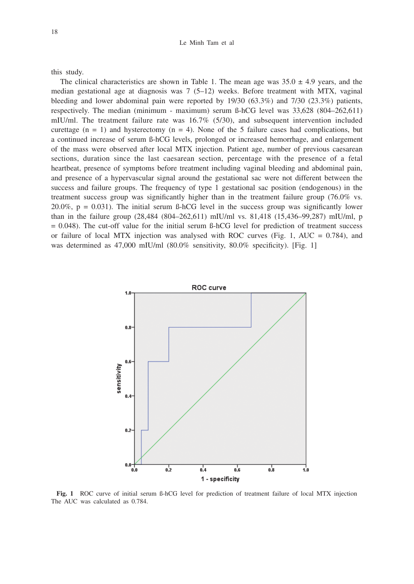#### Le Minh Tam et al

this study.

The clinical characteristics are shown in Table 1. The mean age was  $35.0 \pm 4.9$  years, and the median gestational age at diagnosis was 7 (5–12) weeks. Before treatment with MTX, vaginal bleeding and lower abdominal pain were reported by 19/30 (63.3%) and 7/30 (23.3%) patients, respectively. The median (minimum - maximum) serum ß-hCG level was 33,628 (804–262,611) mIU/ml. The treatment failure rate was 16.7% (5/30), and subsequent intervention included curettage  $(n = 1)$  and hysterectomy  $(n = 4)$ . None of the 5 failure cases had complications, but a continued increase of serum ß-hCG levels, prolonged or increased hemorrhage, and enlargement of the mass were observed after local MTX injection. Patient age, number of previous caesarean sections, duration since the last caesarean section, percentage with the presence of a fetal heartbeat, presence of symptoms before treatment including vaginal bleeding and abdominal pain, and presence of a hypervascular signal around the gestational sac were not different between the success and failure groups. The frequency of type 1 gestational sac position (endogenous) in the treatment success group was significantly higher than in the treatment failure group  $(76.0\%$  vs.  $20.0\%$ ,  $p = 0.031$ ). The initial serum ß-hCG level in the success group was significantly lower than in the failure group (28,484 (804–262,611) mIU/ml vs. 81,418 (15,436–99,287) mIU/ml, p = 0.048). The cut-off value for the initial serum ß-hCG level for prediction of treatment success or failure of local MTX injection was analysed with ROC curves (Fig. 1, AUC =  $0.784$ ), and was determined as 47,000 mIU/ml (80.0% sensitivity, 80.0% specificity). [Fig. 1]



**Fig. 1** ROC curve of initial serum ß-hCG level for prediction of treatment failure of local MTX injection The AUC was calculated as 0.784.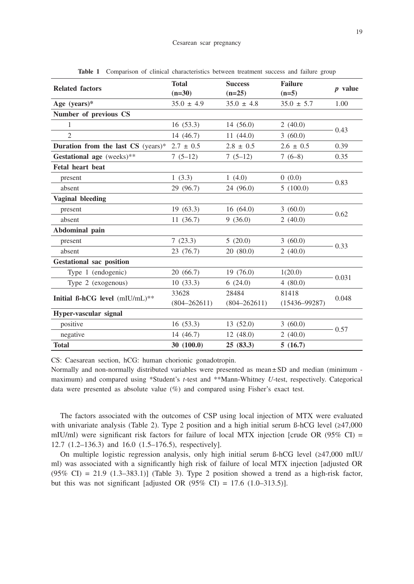| <b>Related factors</b>                           | <b>Total</b><br><b>Success</b><br>$(n=30)$<br>$(n=25)$ |                  | <b>Failure</b>    | $p$ value       |  |
|--------------------------------------------------|--------------------------------------------------------|------------------|-------------------|-----------------|--|
|                                                  |                                                        |                  | $(n=5)$           |                 |  |
| Age (years)*                                     | $35.0 \pm 4.9$                                         | $35.0 \pm 4.8$   | $35.0 \pm 5.7$    | 1.00            |  |
| Number of previous CS                            |                                                        |                  |                   |                 |  |
| 1                                                | 16(53.3)                                               | 14(56.0)         | 2(40.0)           | 0.43            |  |
| $\overline{2}$                                   | 14(46.7)                                               | 11(44.0)         | 3(60.0)           |                 |  |
| Duration from the last CS (years)* $2.7 \pm 0.5$ |                                                        | $2.8 \pm 0.5$    | $2.6 \pm 0.5$     | 0.39            |  |
| Gestational age (weeks)**                        | $7(5-12)$                                              | $7(5-12)$        | $7(6-8)$          | 0.35            |  |
| <b>Fetal heart beat</b>                          |                                                        |                  |                   |                 |  |
| present                                          | 1(3.3)                                                 | 1(4.0)           | 0(0.0)            | 0.83            |  |
| absent                                           | 29 (96.7)                                              | 24 (96.0)        | 5(100.0)          |                 |  |
| Vaginal bleeding                                 |                                                        |                  |                   |                 |  |
| present                                          | 19(63.3)                                               | 16(64.0)         | 3(60.0)           | $-0.62$         |  |
| absent                                           | 11(36.7)                                               | 9(36.0)          | 2(40.0)           |                 |  |
| Abdominal pain                                   |                                                        |                  |                   |                 |  |
| present                                          | 7(23.3)                                                | 5(20.0)          | 3(60.0)           | 0.33<br>2(40.0) |  |
| absent                                           | 23 (76.7)                                              | 20(80.0)         |                   |                 |  |
| <b>Gestational sac position</b>                  |                                                        |                  |                   |                 |  |
| Type 1 (endogenic)                               | 20(66.7)                                               | 19(76.0)         | 1(20.0)           | 0.031           |  |
| Type 2 (exogenous)                               | 10(33.3)                                               | 6(24.0)          | 4(80.0)           |                 |  |
|                                                  | 33628                                                  | 28484            | 81418             |                 |  |
| Initial B-hCG level (mIU/mL)**                   | $(804 - 262611)$                                       | $(804 - 262611)$ | $(15436 - 99287)$ | 0.048           |  |
| Hyper-vascular signal                            |                                                        |                  |                   |                 |  |
| positive                                         | 16(53.3)                                               | 13(52.0)         | 3(60.0)           | 0.57            |  |
| negative                                         | 14(46.7)                                               | 12(48.0)         | 2(40.0)           |                 |  |
| <b>Total</b>                                     | 30(100.0)                                              | 25(83.3)         | 5(16.7)           |                 |  |

**Table 1** Comparison of clinical characteristics between treatment success and failure group

CS: Caesarean section, hCG: human chorionic gonadotropin.

Normally and non-normally distributed variables were presented as mean±SD and median (minimum maximum) and compared using \*Student's *t*-test and \*\*Mann-Whitney *U*-test, respectively. Categorical data were presented as absolute value  $(\%)$  and compared using Fisher's exact test.

The factors associated with the outcomes of CSP using local injection of MTX were evaluated with univariate analysis (Table 2). Type 2 position and a high initial serum ß-hCG level (≥47,000 mIU/ml) were significant risk factors for failure of local MTX injection [crude OR  $(95\%$  CI) = 12.7 (1.2–136.3) and 16.0 (1.5–176.5), respectively].

On multiple logistic regression analysis, only high initial serum ß-hCG level (≥47,000 mIU/ ml) was associated with a significantly high risk of failure of local MTX injection [adjusted OR  $(95\% \text{ CI}) = 21.9 \text{ (1.3–383.1)}$  (Table 3). Type 2 position showed a trend as a high-risk factor, but this was not significant [adjusted OR  $(95\% \text{ CI}) = 17.6 \text{ } (1.0-313.5)$ ].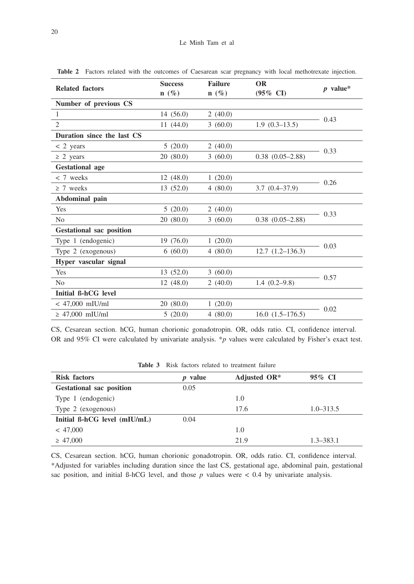| <b>Related factors</b>          | <b>Success</b> | <b>Failure</b>   | <b>OR</b>            |            |  |
|---------------------------------|----------------|------------------|----------------------|------------|--|
|                                 | $n(\%)$        | $\mathbf{n}(\%)$ | $(95\% \text{ CI})$  | $p$ value* |  |
| Number of previous CS           |                |                  |                      |            |  |
| 1                               | 14(56.0)       | 2(40.0)          |                      | 0.43       |  |
| $\overline{c}$                  | 11(44.0)       | 3(60.0)          | $1.9(0.3-13.5)$      |            |  |
| Duration since the last CS      |                |                  |                      |            |  |
| $< 2$ years                     | 5(20.0)        | 2(40.0)          |                      | 0.33       |  |
| $\geq$ 2 years                  | 20(80.0)       | 3(60.0)          | $0.38$ $(0.05-2.88)$ |            |  |
| <b>Gestational</b> age          |                |                  |                      |            |  |
| $< 7$ weeks                     | 12(48.0)       | 1(20.0)          |                      | $-0.26$    |  |
| $\geq 7$ weeks                  | 13(52.0)       | 4(80.0)          | $3.7(0.4 - 37.9)$    |            |  |
| Abdominal pain                  |                |                  |                      |            |  |
| <b>Yes</b>                      | 5(20.0)        | 2(40.0)          |                      | 0.33       |  |
| N <sub>0</sub>                  | 20(80.0)       | 3(60.0)          | $0.38$ $(0.05-2.88)$ |            |  |
| <b>Gestational sac position</b> |                |                  |                      |            |  |
| Type 1 (endogenic)              | 19(76.0)       | 1(20.0)          |                      |            |  |
| Type 2 (exogenous)              | 6(60.0)        | 4(80.0)          | $12.7(1.2-136.3)$    | 0.03       |  |
| Hyper vascular signal           |                |                  |                      |            |  |
| Yes                             | 13(52.0)       | 3(60.0)          |                      | 0.57       |  |
| N <sub>0</sub>                  | 12(48.0)       | 2(40.0)          | $1.4(0.2-9.8)$       |            |  |
| Initial B-hCG level             |                |                  |                      |            |  |
| $< 47,000$ mIU/ml               | 20(80.0)       | 1(20.0)          |                      |            |  |
| $\geq$ 47,000 mIU/ml            | 5(20.0)        | 4(80.0)          | $16.0(1.5-176.5)$    | 0.02       |  |

**Table 2** Factors related with the outcomes of Caesarean scar pregnancy with local methotrexate injection.

CS, Cesarean section. hCG, human chorionic gonadotropin. OR, odds ratio. CI, confidence interval. OR and 95% CI were calculated by univariate analysis. \**p* values were calculated by Fisher's exact test.

| <b>Risk factors</b>                 | <i>p</i> value | Adjusted OR* | 95% CI        |
|-------------------------------------|----------------|--------------|---------------|
| <b>Gestational sac position</b>     | 0.05           |              |               |
| Type 1 (endogenic)                  |                | 1.0          |               |
| Type 2 (exogenous)                  |                | 17.6         | $1.0 - 313.5$ |
| Initial $\beta$ -hCG level (mIU/mL) | 0.04           |              |               |
| < 47,000                            |                | 1.0          |               |
| $\geq 47,000$                       |                | 21.9         | $1.3 - 383.1$ |

**Table 3** Risk factors related to treatment failure

CS, Cesarean section. hCG, human chorionic gonadotropin. OR, odds ratio. CI, confidence interval. \*Adjusted for variables including duration since the last CS, gestational age, abdominal pain, gestational sac position, and initial  $\beta$ -hCG level, and those  $p$  values were < 0.4 by univariate analysis.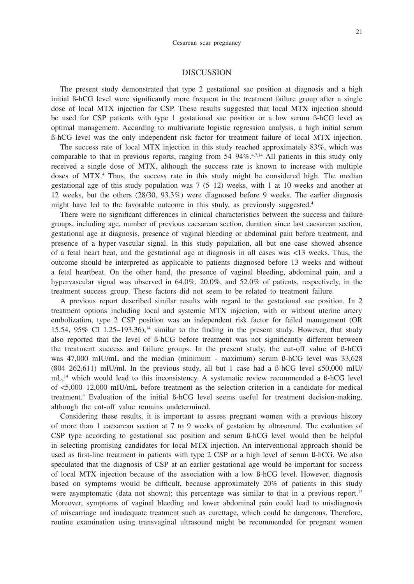## DISCUSSION

The present study demonstrated that type 2 gestational sac position at diagnosis and a high initial ß-hCG level were significantly more frequent in the treatment failure group after a single dose of local MTX injection for CSP. These results suggested that local MTX injection should be used for CSP patients with type 1 gestational sac position or a low serum ß-hCG level as optimal management. According to multivariate logistic regression analysis, a high initial serum ß-hCG level was the only independent risk factor for treatment failure of local MTX injection.

The success rate of local MTX injection in this study reached approximately 83%, which was comparable to that in previous reports, ranging from  $54-94\%$ .<sup>4,7,14</sup> All patients in this study only received a single dose of MTX, although the success rate is known to increase with multiple doses of MTX.<sup>4</sup> Thus, the success rate in this study might be considered high. The median gestational age of this study population was 7 (5–12) weeks, with 1 at 10 weeks and another at 12 weeks, but the others (28/30, 93.3%) were diagnosed before 9 weeks. The earlier diagnosis might have led to the favorable outcome in this study, as previously suggested.<sup>4</sup>

There were no significant differences in clinical characteristics between the success and failure groups, including age, number of previous caesarean section, duration since last caesarean section, gestational age at diagnosis, presence of vaginal bleeding or abdominal pain before treatment, and presence of a hyper-vascular signal. In this study population, all but one case showed absence of a fetal heart beat, and the gestational age at diagnosis in all cases was <13 weeks. Thus, the outcome should be interpreted as applicable to patients diagnosed before 13 weeks and without a fetal heartbeat. On the other hand, the presence of vaginal bleeding, abdominal pain, and a hypervascular signal was observed in 64.0%, 20.0%, and 52.0% of patients, respectively, in the treatment success group. These factors did not seem to be related to treatment failure.

A previous report described similar results with regard to the gestational sac position. In 2 treatment options including local and systemic MTX injection, with or without uterine artery embolization, type 2 CSP position was an independent risk factor for failed management (OR 15.54, 95% CI 1.25–193.36),<sup>14</sup> similar to the finding in the present study. However, that study also reported that the level of ß-hCG before treatment was not significantly different between the treatment success and failure groups. In the present study, the cut-off value of ß-hCG was 47,000 mIU/mL and the median (minimum - maximum) serum ß-hCG level was 33,628  $(804-262.611)$  mIU/ml. In the previous study, all but 1 case had a  $\beta$ -hCG level  $\leq 50,000$  mIU/  $mL<sub>14</sub>$  which would lead to this inconsistency. A systematic review recommended a  $\beta$ -hCG level of <5,000–12,000 mIU/mL before treatment as the selection criterion in a candidate for medical treatment.4 Evaluation of the initial ß-hCG level seems useful for treatment decision-making, although the cut-off value remains undetermined.

Considering these results, it is important to assess pregnant women with a previous history of more than 1 caesarean section at 7 to 9 weeks of gestation by ultrasound. The evaluation of CSP type according to gestational sac position and serum ß-hCG level would then be helpful in selecting promising candidates for local MTX injection. An interventional approach should be used as first-line treatment in patients with type 2 CSP or a high level of serum ß-hCG. We also speculated that the diagnosis of CSP at an earlier gestational age would be important for success of local MTX injection because of the association with a low ß-hCG level. However, diagnosis based on symptoms would be difficult, because approximately 20% of patients in this study were asymptomatic (data not shown); this percentage was similar to that in a previous report.<sup>13</sup> Moreover, symptoms of vaginal bleeding and lower abdominal pain could lead to misdiagnosis of miscarriage and inadequate treatment such as curettage, which could be dangerous. Therefore, routine examination using transvaginal ultrasound might be recommended for pregnant women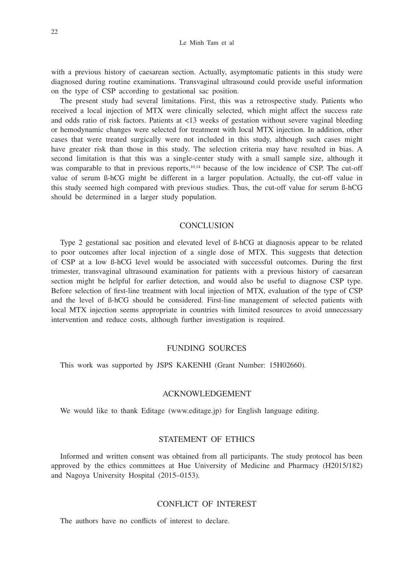#### Le Minh Tam et al

with a previous history of caesarean section. Actually, asymptomatic patients in this study were diagnosed during routine examinations. Transvaginal ultrasound could provide useful information on the type of CSP according to gestational sac position.

The present study had several limitations. First, this was a retrospective study. Patients who received a local injection of MTX were clinically selected, which might affect the success rate and odds ratio of risk factors. Patients at <13 weeks of gestation without severe vaginal bleeding or hemodynamic changes were selected for treatment with local MTX injection. In addition, other cases that were treated surgically were not included in this study, although such cases might have greater risk than those in this study. The selection criteria may have resulted in bias. A second limitation is that this was a single-center study with a small sample size, although it was comparable to that in previous reports,<sup>10,14</sup> because of the low incidence of CSP. The cut-off value of serum ß-hCG might be different in a larger population. Actually, the cut-off value in this study seemed high compared with previous studies. Thus, the cut-off value for serum ß-hCG should be determined in a larger study population.

## **CONCLUSION**

Type 2 gestational sac position and elevated level of ß-hCG at diagnosis appear to be related to poor outcomes after local injection of a single dose of MTX. This suggests that detection of CSP at a low ß-hCG level would be associated with successful outcomes. During the first trimester, transvaginal ultrasound examination for patients with a previous history of caesarean section might be helpful for earlier detection, and would also be useful to diagnose CSP type. Before selection of first-line treatment with local injection of MTX, evaluation of the type of CSP and the level of ß-hCG should be considered. First-line management of selected patients with local MTX injection seems appropriate in countries with limited resources to avoid unnecessary intervention and reduce costs, although further investigation is required.

# FUNDING SOURCES

This work was supported by JSPS KAKENHI (Grant Number: 15H02660).

## ACKNOWLEDGEMENT

We would like to thank Editage (www.editage.jp) for English language editing.

# STATEMENT OF ETHICS

Informed and written consent was obtained from all participants. The study protocol has been approved by the ethics committees at Hue University of Medicine and Pharmacy (H2015/182) and Nagoya University Hospital (2015–0153).

## CONFLICT OF INTEREST

The authors have no conflicts of interest to declare.